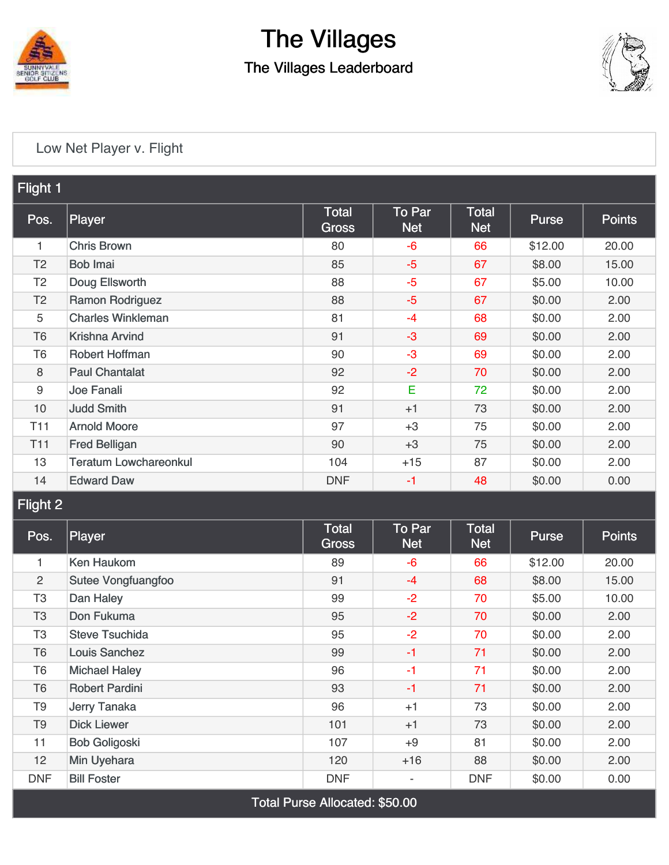

# The Villages

The Villages Leaderboard



#### [Low Net Player v. Flight](https://cdn2.golfgenius.com/v2tournaments/4248413030464883168)

| Flight 1        |                              |                              |                                    |                            |              |               |  |  |  |  |  |
|-----------------|------------------------------|------------------------------|------------------------------------|----------------------------|--------------|---------------|--|--|--|--|--|
| Pos.            | Player                       | <b>Total</b><br><b>Gross</b> | $\overline{1}$ o Par<br><b>Net</b> | <b>Total</b><br><b>Net</b> | <b>Purse</b> | <b>Points</b> |  |  |  |  |  |
| 1               | <b>Chris Brown</b>           | 80                           | -6                                 | 66                         | \$12.00      | 20.00         |  |  |  |  |  |
| T <sub>2</sub>  | <b>Bob Imai</b>              | 85                           | $-5$                               | 67                         | \$8.00       | 15.00         |  |  |  |  |  |
| T <sub>2</sub>  | Doug Ellsworth               | 88                           | $-5$                               | 67                         | \$5.00       | 10.00         |  |  |  |  |  |
| T <sub>2</sub>  | <b>Ramon Rodriguez</b>       | 88                           | $-5$                               | 67                         | \$0.00       | 2.00          |  |  |  |  |  |
| 5               | <b>Charles Winkleman</b>     | 81                           | $-4$                               | 68                         | \$0.00       | 2.00          |  |  |  |  |  |
| T <sub>6</sub>  | Krishna Arvind               | 91                           | $-3$                               | 69                         | \$0.00       | 2.00          |  |  |  |  |  |
| T <sub>6</sub>  | <b>Robert Hoffman</b>        | 90                           | $-3$                               | 69                         | \$0.00       | 2.00          |  |  |  |  |  |
| 8               | <b>Paul Chantalat</b>        | 92                           | $-2$                               | 70                         | \$0.00       | 2.00          |  |  |  |  |  |
| $9\,$           | Joe Fanali                   | 92                           | E                                  | 72                         | \$0.00       | 2.00          |  |  |  |  |  |
| 10              | <b>Judd Smith</b>            | 91                           | $+1$                               | 73                         | \$0.00       | 2.00          |  |  |  |  |  |
| T <sub>11</sub> | <b>Arnold Moore</b>          | 97                           | $+3$                               | 75                         | \$0.00       | 2.00          |  |  |  |  |  |
| T <sub>11</sub> | <b>Fred Belligan</b>         | 90                           | $+3$                               | 75                         | \$0.00       | 2.00          |  |  |  |  |  |
| 13              | <b>Teratum Lowchareonkul</b> | 104                          | $+15$                              | 87                         | \$0.00       | 2.00          |  |  |  |  |  |
| 14              | <b>Edward Daw</b>            | <b>DNF</b>                   | $-1$                               | 48                         | \$0.00       | 0.00          |  |  |  |  |  |

#### Flight 2

| Pos.           | Player                    | Total<br>Gross | <b>To Par</b><br><b>Net</b> | <b>Total</b><br><b>Net</b> | <b>Purse</b> | <b>Points</b> |
|----------------|---------------------------|----------------|-----------------------------|----------------------------|--------------|---------------|
| 1              | Ken Haukom                | 89             | $-6$                        | 66                         | \$12.00      | 20.00         |
| $\overline{2}$ | <b>Sutee Vongfuangfoo</b> | 91             | $-4$                        | 68                         | \$8.00       | 15.00         |
| T <sub>3</sub> | Dan Haley                 | 99             | $-2$                        | 70                         | \$5.00       | 10.00         |
| T <sub>3</sub> | Don Fukuma                | 95             | $-2$                        | 70                         | \$0.00       | 2.00          |
| T <sub>3</sub> | <b>Steve Tsuchida</b>     | 95             | $-2$                        | 70                         | \$0.00       | 2.00          |
| T <sub>6</sub> | Louis Sanchez             | 99             | $-1$                        | 71                         | \$0.00       | 2.00          |
| T <sub>6</sub> | <b>Michael Haley</b>      | 96             | $-1$                        | 71                         | \$0.00       | 2.00          |
| T <sub>6</sub> | <b>Robert Pardini</b>     | 93             | $-1$                        | 71                         | \$0.00       | 2.00          |
| T <sub>9</sub> | Jerry Tanaka              | 96             | $+1$                        | 73                         | \$0.00       | 2.00          |
| T <sub>9</sub> | <b>Dick Liewer</b>        | 101            | $+1$                        | 73                         | \$0.00       | 2.00          |
| 11             | <b>Bob Goligoski</b>      | 107            | $+9$                        | 81                         | \$0.00       | 2.00          |
| 12             | Min Uyehara               | 120            | $+16$                       | 88                         | \$0.00       | 2.00          |
| <b>DNF</b>     | <b>Bill Foster</b>        | <b>DNF</b>     | $\overline{\phantom{0}}$    | <b>DNF</b>                 | \$0.00       | 0.00          |

Total Purse Allocated: \$50.00